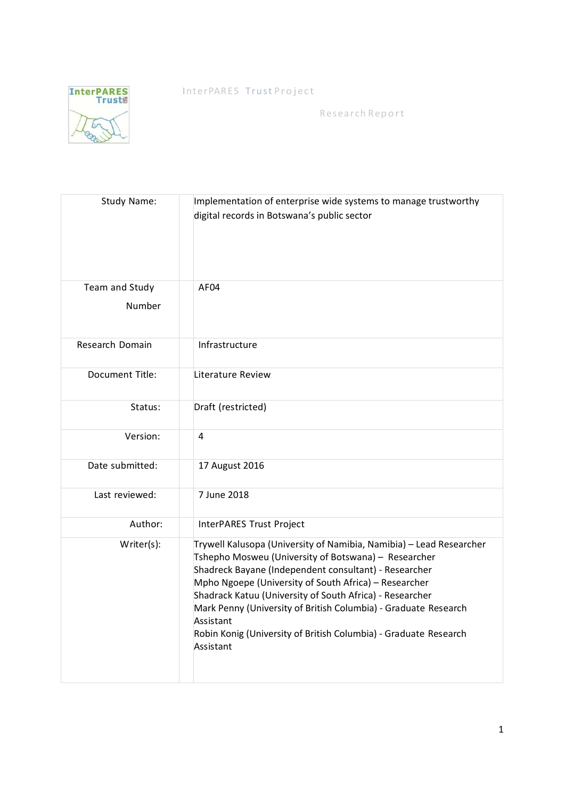InterPARES Trust Project



Research Report

| <b>Study Name:</b>       | Implementation of enterprise wide systems to manage trustworthy<br>digital records in Botswana's public sector                                                                                                                                                                                                                                                                                                                                                             |  |
|--------------------------|----------------------------------------------------------------------------------------------------------------------------------------------------------------------------------------------------------------------------------------------------------------------------------------------------------------------------------------------------------------------------------------------------------------------------------------------------------------------------|--|
| Team and Study<br>Number | AF04                                                                                                                                                                                                                                                                                                                                                                                                                                                                       |  |
| Research Domain          | Infrastructure                                                                                                                                                                                                                                                                                                                                                                                                                                                             |  |
| Document Title:          | Literature Review                                                                                                                                                                                                                                                                                                                                                                                                                                                          |  |
| Status:                  | Draft (restricted)                                                                                                                                                                                                                                                                                                                                                                                                                                                         |  |
| Version:                 | 4                                                                                                                                                                                                                                                                                                                                                                                                                                                                          |  |
| Date submitted:          | 17 August 2016                                                                                                                                                                                                                                                                                                                                                                                                                                                             |  |
| Last reviewed:           | 7 June 2018                                                                                                                                                                                                                                                                                                                                                                                                                                                                |  |
| Author:                  | InterPARES Trust Project                                                                                                                                                                                                                                                                                                                                                                                                                                                   |  |
| Writer(s):               | Trywell Kalusopa (University of Namibia, Namibia) - Lead Researcher<br>Tshepho Mosweu (University of Botswana) - Researcher<br>Shadreck Bayane (Independent consultant) - Researcher<br>Mpho Ngoepe (University of South Africa) - Researcher<br>Shadrack Katuu (University of South Africa) - Researcher<br>Mark Penny (University of British Columbia) - Graduate Research<br>Assistant<br>Robin Konig (University of British Columbia) - Graduate Research<br>Assistant |  |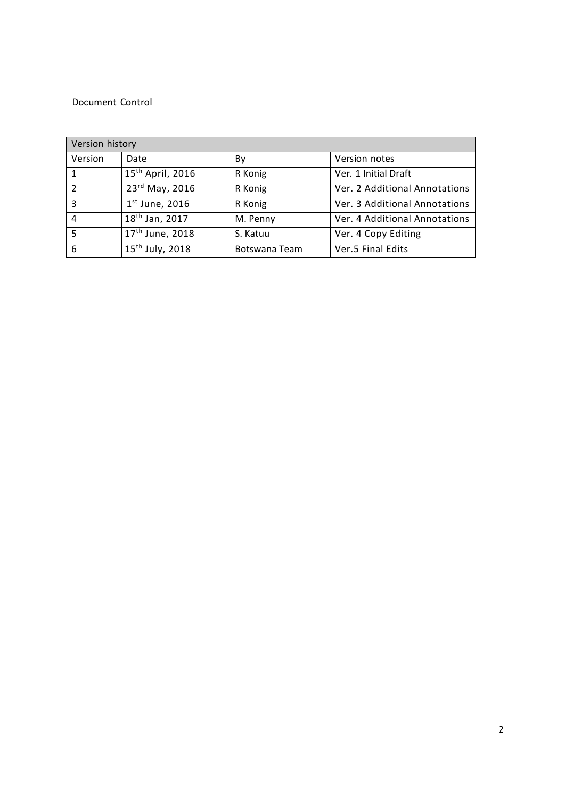#### Document Control

| Version history |                              |               |                               |  |
|-----------------|------------------------------|---------------|-------------------------------|--|
| Version         | Date                         | By            | Version notes                 |  |
|                 | 15 <sup>th</sup> April, 2016 | R Konig       | Ver. 1 Initial Draft          |  |
| $\overline{2}$  | 23rd May, 2016               | R Konig       | Ver. 2 Additional Annotations |  |
| 3               | $1st$ June, 2016             | R Konig       | Ver. 3 Additional Annotations |  |
| 4               | 18 <sup>th</sup> Jan, 2017   | M. Penny      | Ver. 4 Additional Annotations |  |
| 5               | $17^{th}$ June, 2018         | S. Katuu      | Ver. 4 Copy Editing           |  |
| 6               | 15 <sup>th</sup> July, 2018  | Botswana Team | Ver.5 Final Edits             |  |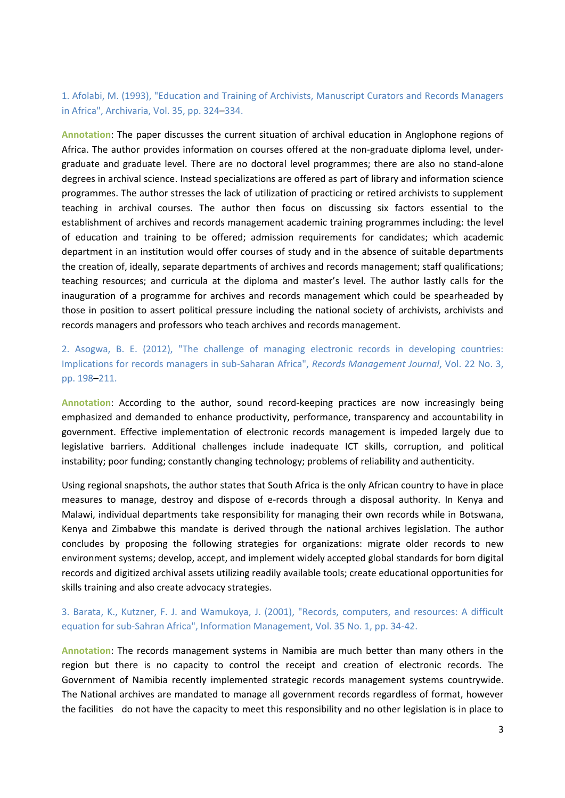## 1. Afolabi, M. (1993), "Education and Training of Archivists, Manuscript Curators and Records Managers in Africa", Archivaria, Vol. 35, pp. 324–334.

**Annotation**: The paper discusses the current situation of archival education in Anglophone regions of Africa. The author provides information on courses offered at the non-graduate diploma level, undergraduate and graduate level. There are no doctoral level programmes; there are also no stand-alone degrees in archival science. Instead specializations are offered as part of library and information science programmes. The author stresses the lack of utilization of practicing or retired archivists to supplement teaching in archival courses. The author then focus on discussing six factors essential to the establishment of archives and records management academic training programmes including: the level of education and training to be offered; admission requirements for candidates; which academic department in an institution would offer courses of study and in the absence of suitable departments the creation of, ideally, separate departments of archives and records management; staff qualifications; teaching resources; and curricula at the diploma and master's level. The author lastly calls for the inauguration of a programme for archives and records management which could be spearheaded by those in position to assert political pressure including the national society of archivists, archivists and records managers and professors who teach archives and records management.

2. Asogwa, B. E. (2012), "The challenge of managing electronic records in developing countries: Implications for records managers in sub-Saharan Africa", *Records Management Journal*, Vol. 22 No. 3, pp. 198–211.

**Annotation**: According to the author, sound record-keeping practices are now increasingly being emphasized and demanded to enhance productivity, performance, transparency and accountability in government. Effective implementation of electronic records management is impeded largely due to legislative barriers. Additional challenges include inadequate ICT skills, corruption, and political instability; poor funding; constantly changing technology; problems of reliability and authenticity.

Using regional snapshots, the author states that South Africa is the only African country to have in place measures to manage, destroy and dispose of e-records through a disposal authority. In Kenya and Malawi, individual departments take responsibility for managing their own records while in Botswana, Kenya and Zimbabwe this mandate is derived through the national archives legislation. The author concludes by proposing the following strategies for organizations: migrate older records to new environment systems; develop, accept, and implement widely accepted global standards for born digital records and digitized archival assets utilizing readily available tools; create educational opportunities for skills training and also create advocacy strategies.

## 3. Barata, K., Kutzner, F. J. and Wamukoya, J. (2001), "Records, computers, and resources: A difficult equation for sub-Sahran Africa", Information Management, Vol. 35 No. 1, pp. 34-42.

**Annotation**: The records management systems in Namibia are much better than many others in the region but there is no capacity to control the receipt and creation of electronic records. The Government of Namibia recently implemented strategic records management systems countrywide. The National archives are mandated to manage all government records regardless of format, however the facilities do not have the capacity to meet this responsibility and no other legislation is in place to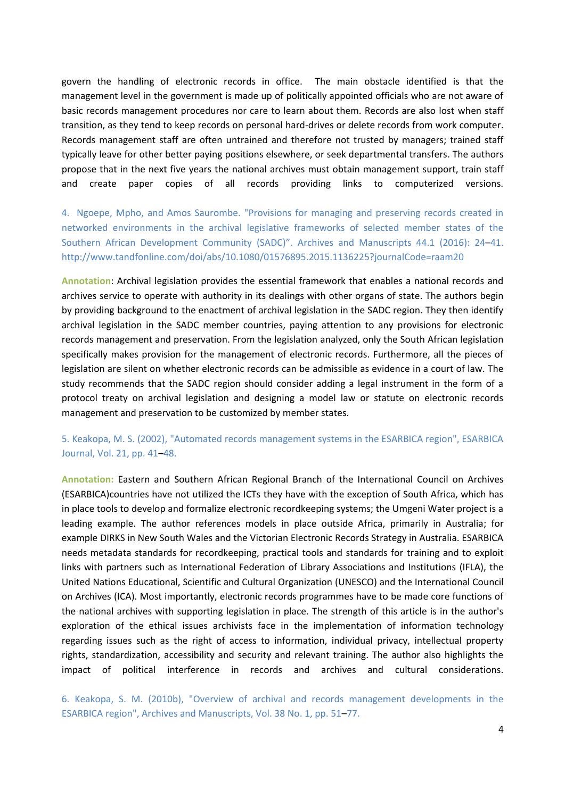govern the handling of electronic records in office. The main obstacle identified is that the management level in the government is made up of politically appointed officials who are not aware of basic records management procedures nor care to learn about them. Records are also lost when staff transition, as they tend to keep records on personal hard-drives or delete records from work computer. Records management staff are often untrained and therefore not trusted by managers; trained staff typically leave for other better paying positions elsewhere, or seek departmental transfers. The authors propose that in the next five years the national archives must obtain management support, train staff and create paper copies of all records providing links to computerized versions.

4. Ngoepe, Mpho, and Amos Saurombe. "Provisions for managing and preserving records created in networked environments in the archival legislative frameworks of selected member states of the Southern African Development Community (SADC)". Archives and Manuscripts 44.1 (2016): 24–41. http://www.tandfonline.com/doi/abs/10.1080/01576895.2015.1136225?journalCode=raam20

**Annotation**: Archival legislation provides the essential framework that enables a national records and archives service to operate with authority in its dealings with other organs of state. The authors begin by providing background to the enactment of archival legislation in the SADC region. They then identify archival legislation in the SADC member countries, paying attention to any provisions for electronic records management and preservation. From the legislation analyzed, only the South African legislation specifically makes provision for the management of electronic records. Furthermore, all the pieces of legislation are silent on whether electronic records can be admissible as evidence in a court of law. The study recommends that the SADC region should consider adding a legal instrument in the form of a protocol treaty on archival legislation and designing a model law or statute on electronic records management and preservation to be customized by member states.

#### 5. Keakopa, M. S. (2002), "Automated records management systems in the ESARBICA region", ESARBICA Journal, Vol. 21, pp. 41–48.

**Annotation:** Eastern and Southern African Regional Branch of the International Council on Archives (ESARBICA)countries have not utilized the ICTs they have with the exception of South Africa, which has in place tools to develop and formalize electronic recordkeeping systems; the Umgeni Water project is a leading example. The author references models in place outside Africa, primarily in Australia; for example DIRKS in New South Wales and the Victorian Electronic Records Strategy in Australia. ESARBICA needs metadata standards for recordkeeping, practical tools and standards for training and to exploit links with partners such as International Federation of Library Associations and Institutions (IFLA), the United Nations Educational, Scientific and Cultural Organization (UNESCO) and the International Council on Archives (ICA). Most importantly, electronic records programmes have to be made core functions of the national archives with supporting legislation in place. The strength of this article is in the author's exploration of the ethical issues archivists face in the implementation of information technology regarding issues such as the right of access to information, individual privacy, intellectual property rights, standardization, accessibility and security and relevant training. The author also highlights the impact of political interference in records and archives and cultural considerations.

6. Keakopa, S. M. (2010b), "Overview of archival and records management developments in the ESARBICA region", Archives and Manuscripts, Vol. 38 No. 1, pp. 51–77.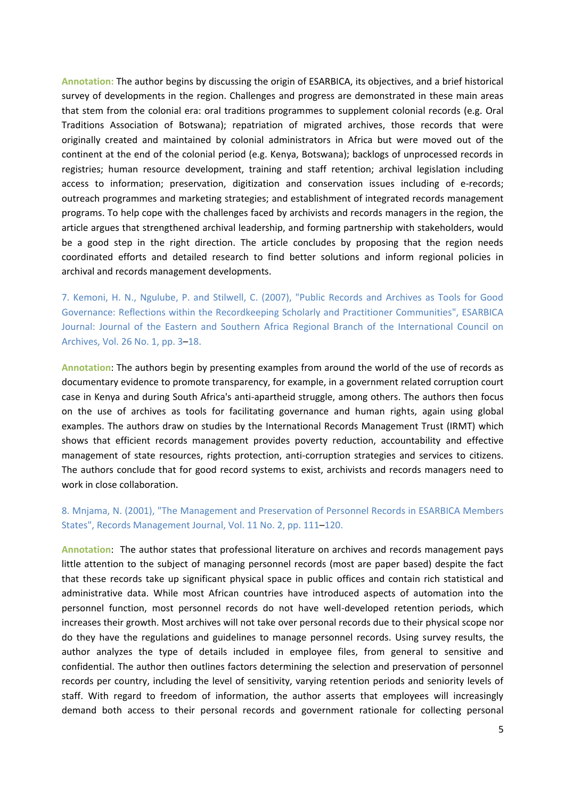**Annotation:** The author begins by discussing the origin of ESARBICA, its objectives, and a brief historical survey of developments in the region. Challenges and progress are demonstrated in these main areas that stem from the colonial era: oral traditions programmes to supplement colonial records (e.g. Oral Traditions Association of Botswana); repatriation of migrated archives, those records that were originally created and maintained by colonial administrators in Africa but were moved out of the continent at the end of the colonial period (e.g. Kenya, Botswana); backlogs of unprocessed records in registries; human resource development, training and staff retention; archival legislation including access to information; preservation, digitization and conservation issues including of e-records; outreach programmes and marketing strategies; and establishment of integrated records management programs. To help cope with the challenges faced by archivists and records managers in the region, the article argues that strengthened archival leadership, and forming partnership with stakeholders, would be a good step in the right direction. The article concludes by proposing that the region needs coordinated efforts and detailed research to find better solutions and inform regional policies in archival and records management developments.

7. Kemoni, H. N., Ngulube, P. and Stilwell, C. (2007), "Public Records and Archives as Tools for Good Governance: Reflections within the Recordkeeping Scholarly and Practitioner Communities", ESARBICA Journal: Journal of the Eastern and Southern Africa Regional Branch of the International Council on Archives, Vol. 26 No. 1, pp. 3–18.

**Annotation**: The authors begin by presenting examples from around the world of the use of records as documentary evidence to promote transparency, for example, in a government related corruption court case in Kenya and during South Africa's anti-apartheid struggle, among others. The authors then focus on the use of archives as tools for facilitating governance and human rights, again using global examples. The authors draw on studies by the International Records Management Trust (IRMT) which shows that efficient records management provides poverty reduction, accountability and effective management of state resources, rights protection, anti-corruption strategies and services to citizens. The authors conclude that for good record systems to exist, archivists and records managers need to work in close collaboration.

## 8. Mnjama, N. (2001), "The Management and Preservation of Personnel Records in ESARBICA Members States", Records Management Journal, Vol. 11 No. 2, pp. 111–120.

**Annotation**: The author states that professional literature on archives and records management pays little attention to the subject of managing personnel records (most are paper based) despite the fact that these records take up significant physical space in public offices and contain rich statistical and administrative data. While most African countries have introduced aspects of automation into the personnel function, most personnel records do not have well-developed retention periods, which increases their growth. Most archives will not take over personal records due to their physical scope nor do they have the regulations and guidelines to manage personnel records. Using survey results, the author analyzes the type of details included in employee files, from general to sensitive and confidential. The author then outlines factors determining the selection and preservation of personnel records per country, including the level of sensitivity, varying retention periods and seniority levels of staff. With regard to freedom of information, the author asserts that employees will increasingly demand both access to their personal records and government rationale for collecting personal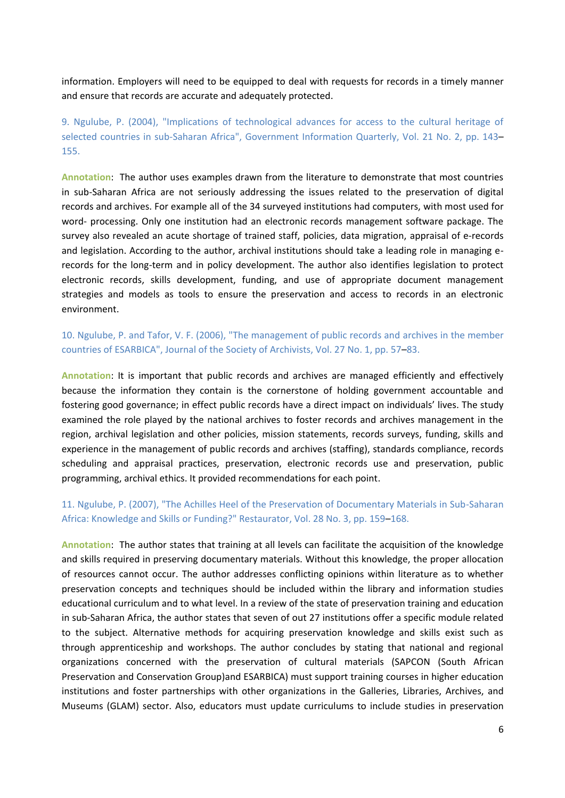information. Employers will need to be equipped to deal with requests for records in a timely manner and ensure that records are accurate and adequately protected.

9. Ngulube, P. (2004), "Implications of technological advances for access to the cultural heritage of selected countries in sub-Saharan Africa", Government Information Quarterly, Vol. 21 No. 2, pp. 143– 155.

**Annotation**: The author uses examples drawn from the literature to demonstrate that most countries in sub-Saharan Africa are not seriously addressing the issues related to the preservation of digital records and archives. For example all of the 34 surveyed institutions had computers, with most used for word- processing. Only one institution had an electronic records management software package. The survey also revealed an acute shortage of trained staff, policies, data migration, appraisal of e-records and legislation. According to the author, archival institutions should take a leading role in managing erecords for the long-term and in policy development. The author also identifies legislation to protect electronic records, skills development, funding, and use of appropriate document management strategies and models as tools to ensure the preservation and access to records in an electronic environment.

10. Ngulube, P. and Tafor, V. F. (2006), "The management of public records and archives in the member countries of ESARBICA", Journal of the Society of Archivists, Vol. 27 No. 1, pp. 57–83.

**Annotation**: It is important that public records and archives are managed efficiently and effectively because the information they contain is the cornerstone of holding government accountable and fostering good governance; in effect public records have a direct impact on individuals' lives. The study examined the role played by the national archives to foster records and archives management in the region, archival legislation and other policies, mission statements, records surveys, funding, skills and experience in the management of public records and archives (staffing), standards compliance, records scheduling and appraisal practices, preservation, electronic records use and preservation, public programming, archival ethics. It provided recommendations for each point.

## 11. Ngulube, P. (2007), "The Achilles Heel of the Preservation of Documentary Materials in Sub-Saharan Africa: Knowledge and Skills or Funding?" Restaurator, Vol. 28 No. 3, pp. 159–168.

**Annotation**: The author states that training at all levels can facilitate the acquisition of the knowledge and skills required in preserving documentary materials. Without this knowledge, the proper allocation of resources cannot occur. The author addresses conflicting opinions within literature as to whether preservation concepts and techniques should be included within the library and information studies educational curriculum and to what level. In a review of the state of preservation training and education in sub-Saharan Africa, the author states that seven of out 27 institutions offer a specific module related to the subject. Alternative methods for acquiring preservation knowledge and skills exist such as through apprenticeship and workshops. The author concludes by stating that national and regional organizations concerned with the preservation of cultural materials (SAPCON (South African Preservation and Conservation Group)and ESARBICA) must support training courses in higher education institutions and foster partnerships with other organizations in the Galleries, Libraries, Archives, and Museums (GLAM) sector. Also, educators must update curriculums to include studies in preservation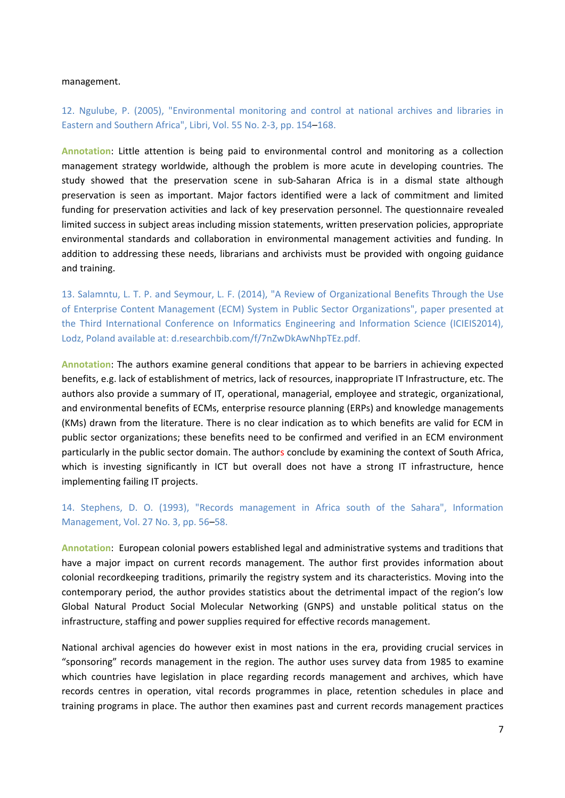#### management.

12. Ngulube, P. (2005), "Environmental monitoring and control at national archives and libraries in Eastern and Southern Africa", Libri, Vol. 55 No. 2-3, pp. 154–168.

**Annotation**: Little attention is being paid to environmental control and monitoring as a collection management strategy worldwide, although the problem is more acute in developing countries. The study showed that the preservation scene in sub-Saharan Africa is in a dismal state although preservation is seen as important. Major factors identified were a lack of commitment and limited funding for preservation activities and lack of key preservation personnel. The questionnaire revealed limited success in subject areas including mission statements, written preservation policies, appropriate environmental standards and collaboration in environmental management activities and funding. In addition to addressing these needs, librarians and archivists must be provided with ongoing guidance and training.

13. Salamntu, L. T. P. and Seymour, L. F. (2014), "A Review of Organizational Benefits Through the Use of Enterprise Content Management (ECM) System in Public Sector Organizations", paper presented at the Third International Conference on Informatics Engineering and Information Science (ICIEIS2014), Lodz, Poland available at: d.researchbib.com/f/7nZwDkAwNhpTEz.pdf.

**Annotation**: The authors examine general conditions that appear to be barriers in achieving expected benefits, e.g. lack of establishment of metrics, lack of resources, inappropriate IT Infrastructure, etc. The authors also provide a summary of IT, operational, managerial, employee and strategic, organizational, and environmental benefits of ECMs, enterprise resource planning (ERPs) and knowledge managements (KMs) drawn from the literature. There is no clear indication as to which benefits are valid for ECM in public sector organizations; these benefits need to be confirmed and verified in an ECM environment particularly in the public sector domain. The authors conclude by examining the context of South Africa, which is investing significantly in ICT but overall does not have a strong IT infrastructure, hence implementing failing IT projects.

#### 14. Stephens, D. O. (1993), "Records management in Africa south of the Sahara", Information Management, Vol. 27 No. 3, pp. 56–58.

**Annotation**: European colonial powers established legal and administrative systems and traditions that have a major impact on current records management. The author first provides information about colonial recordkeeping traditions, primarily the registry system and its characteristics. Moving into the contemporary period, the author provides statistics about the detrimental impact of the region's low Global Natural Product Social Molecular Networking (GNPS) and unstable political status on the infrastructure, staffing and power supplies required for effective records management.

National archival agencies do however exist in most nations in the era, providing crucial services in "sponsoring" records management in the region. The author uses survey data from 1985 to examine which countries have legislation in place regarding records management and archives, which have records centres in operation, vital records programmes in place, retention schedules in place and training programs in place. The author then examines past and current records management practices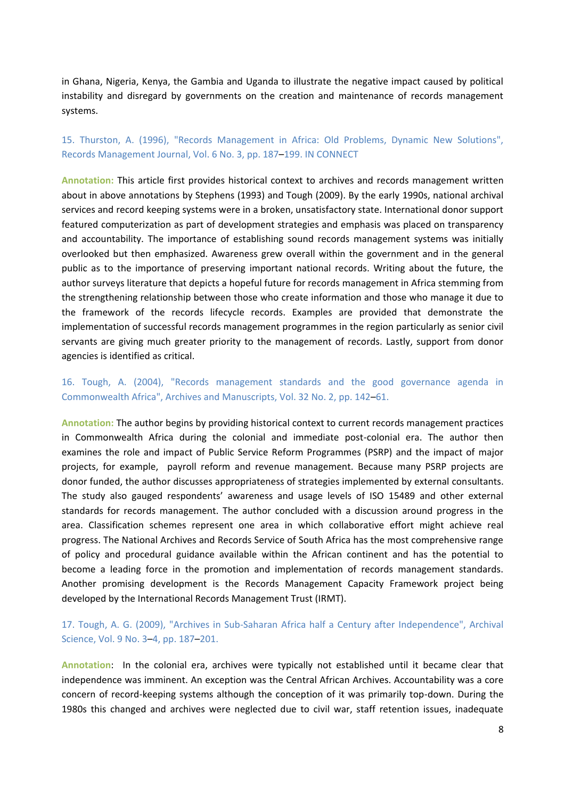in Ghana, Nigeria, Kenya, the Gambia and Uganda to illustrate the negative impact caused by political instability and disregard by governments on the creation and maintenance of records management systems.

#### 15. Thurston, A. (1996), "Records Management in Africa: Old Problems, Dynamic New Solutions", Records Management Journal, Vol. 6 No. 3, pp. 187–199. IN CONNECT

**Annotation:** This article first provides historical context to archives and records management written about in above annotations by Stephens (1993) and Tough (2009). By the early 1990s, national archival services and record keeping systems were in a broken, unsatisfactory state. International donor support featured computerization as part of development strategies and emphasis was placed on transparency and accountability. The importance of establishing sound records management systems was initially overlooked but then emphasized. Awareness grew overall within the government and in the general public as to the importance of preserving important national records. Writing about the future, the author surveys literature that depicts a hopeful future for records management in Africa stemming from the strengthening relationship between those who create information and those who manage it due to the framework of the records lifecycle records. Examples are provided that demonstrate the implementation of successful records management programmes in the region particularly as senior civil servants are giving much greater priority to the management of records. Lastly, support from donor agencies is identified as critical.

## 16. Tough, A. (2004), "Records management standards and the good governance agenda in Commonwealth Africa", Archives and Manuscripts, Vol. 32 No. 2, pp. 142–61.

**Annotation:** The author begins by providing historical context to current records management practices in Commonwealth Africa during the colonial and immediate post-colonial era. The author then examines the role and impact of Public Service Reform Programmes (PSRP) and the impact of major projects, for example, payroll reform and revenue management. Because many PSRP projects are donor funded, the author discusses appropriateness of strategies implemented by external consultants. The study also gauged respondents' awareness and usage levels of ISO 15489 and other external standards for records management. The author concluded with a discussion around progress in the area. Classification schemes represent one area in which collaborative effort might achieve real progress. The National Archives and Records Service of South Africa has the most comprehensive range of policy and procedural guidance available within the African continent and has the potential to become a leading force in the promotion and implementation of records management standards. Another promising development is the Records Management Capacity Framework project being developed by the International Records Management Trust (IRMT).

#### 17. Tough, A. G. (2009), "Archives in Sub-Saharan Africa half a Century after Independence", Archival Science, Vol. 9 No. 3–4, pp. 187–201.

**Annotation**: In the colonial era, archives were typically not established until it became clear that independence was imminent. An exception was the Central African Archives. Accountability was a core concern of record-keeping systems although the conception of it was primarily top-down. During the 1980s this changed and archives were neglected due to civil war, staff retention issues, inadequate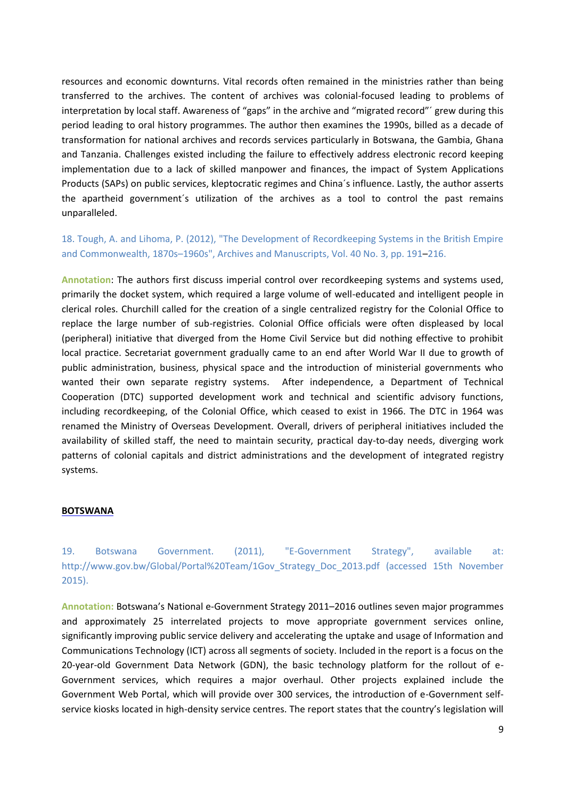resources and economic downturns. Vital records often remained in the ministries rather than being transferred to the archives. The content of archives was colonial-focused leading to problems of interpretation by local staff. Awareness of "gaps" in the archive and "migrated record"´ grew during this period leading to oral history programmes. The author then examines the 1990s, billed as a decade of transformation for national archives and records services particularly in Botswana, the Gambia, Ghana and Tanzania. Challenges existed including the failure to effectively address electronic record keeping implementation due to a lack of skilled manpower and finances, the impact of System Applications Products (SAPs) on public services, kleptocratic regimes and China´s influence. Lastly, the author asserts the apartheid government´s utilization of the archives as a tool to control the past remains unparalleled.

## 18. Tough, A. and Lihoma, P. (2012), "The Development of Recordkeeping Systems in the British Empire and Commonwealth, 1870s–1960s", Archives and Manuscripts, Vol. 40 No. 3, pp. 191–216.

**Annotation**: The authors first discuss imperial control over recordkeeping systems and systems used, primarily the docket system, which required a large volume of well-educated and intelligent people in clerical roles. Churchill called for the creation of a single centralized registry for the Colonial Office to replace the large number of sub-registries. Colonial Office officials were often displeased by local (peripheral) initiative that diverged from the Home Civil Service but did nothing effective to prohibit local practice. Secretariat government gradually came to an end after World War II due to growth of public administration, business, physical space and the introduction of ministerial governments who wanted their own separate registry systems. After independence, a Department of Technical Cooperation (DTC) supported development work and technical and scientific advisory functions, including recordkeeping, of the Colonial Office, which ceased to exist in 1966. The DTC in 1964 was renamed the Ministry of Overseas Development. Overall, drivers of peripheral initiatives included the availability of skilled staff, the need to maintain security, practical day-to-day needs, diverging work patterns of colonial capitals and district administrations and the development of integrated registry systems.

#### **BOTSWANA**

19. Botswana Government. (2011), "E-Government Strategy", available at: http://www.gov.bw/Global/Portal%20Team/1Gov\_Strategy\_Doc\_2013.pdf (accessed 15th November 2015).

**Annotation:** Botswana's National e-Government Strategy 2011–2016 outlines seven major programmes and approximately 25 interrelated projects to move appropriate government services online, significantly improving public service delivery and accelerating the uptake and usage of Information and Communications Technology (ICT) across all segments of society. Included in the report is a focus on the 20-year-old Government Data Network (GDN), the basic technology platform for the rollout of e-Government services, which requires a major overhaul. Other projects explained include the Government Web Portal, which will provide over 300 services, the introduction of e-Government selfservice kiosks located in high-density service centres. The report states that the country's legislation will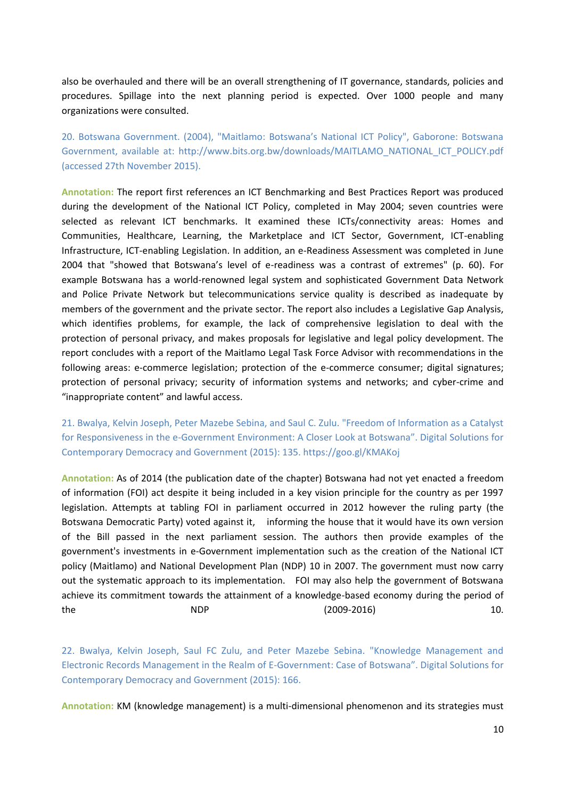also be overhauled and there will be an overall strengthening of IT governance, standards, policies and procedures. Spillage into the next planning period is expected. Over 1000 people and many organizations were consulted.

20. Botswana Government. (2004), "Maitlamo: Botswana's National ICT Policy", Gaborone: Botswana Government, available at: http://www.bits.org.bw/downloads/MAITLAMO\_NATIONAL\_ICT\_POLICY.pdf (accessed 27th November 2015).

**Annotation:** The report first references an ICT Benchmarking and Best Practices Report was produced during the development of the National ICT Policy, completed in May 2004; seven countries were selected as relevant ICT benchmarks. It examined these ICTs/connectivity areas: Homes and Communities, Healthcare, Learning, the Marketplace and ICT Sector, Government, ICT-enabling Infrastructure, ICT-enabling Legislation. In addition, an e-Readiness Assessment was completed in June 2004 that "showed that Botswana's level of e-readiness was a contrast of extremes" (p. 60). For example Botswana has a world-renowned legal system and sophisticated Government Data Network and Police Private Network but telecommunications service quality is described as inadequate by members of the government and the private sector. The report also includes a Legislative Gap Analysis, which identifies problems, for example, the lack of comprehensive legislation to deal with the protection of personal privacy, and makes proposals for legislative and legal policy development. The report concludes with a report of the Maitlamo Legal Task Force Advisor with recommendations in the following areas: e-commerce legislation; protection of the e-commerce consumer; digital signatures; protection of personal privacy; security of information systems and networks; and cyber-crime and "inappropriate content" and lawful access.

21. Bwalya, Kelvin Joseph, Peter Mazebe Sebina, and Saul C. Zulu. "Freedom of Information as a Catalyst for Responsiveness in the e-Government Environment: A Closer Look at Botswana". Digital Solutions for Contemporary Democracy and Government (2015): 135. https://goo.gl/KMAKoj

**Annotation:** As of 2014 (the publication date of the chapter) Botswana had not yet enacted a freedom of information (FOI) act despite it being included in a key vision principle for the country as per 1997 legislation. Attempts at tabling FOI in parliament occurred in 2012 however the ruling party (the Botswana Democratic Party) voted against it, informing the house that it would have its own version of the Bill passed in the next parliament session. The authors then provide examples of the government's investments in e-Government implementation such as the creation of the National ICT policy (Maitlamo) and National Development Plan (NDP) 10 in 2007. The government must now carry out the systematic approach to its implementation. FOI may also help the government of Botswana achieve its commitment towards the attainment of a knowledge-based economy during the period of the 10. NDP (2009-2016) 10.

22. Bwalya, Kelvin Joseph, Saul FC Zulu, and Peter Mazebe Sebina. "Knowledge Management and Electronic Records Management in the Realm of E-Government: Case of Botswana". Digital Solutions for Contemporary Democracy and Government (2015): 166.

**Annotation:** KM (knowledge management) is a multi-dimensional phenomenon and its strategies must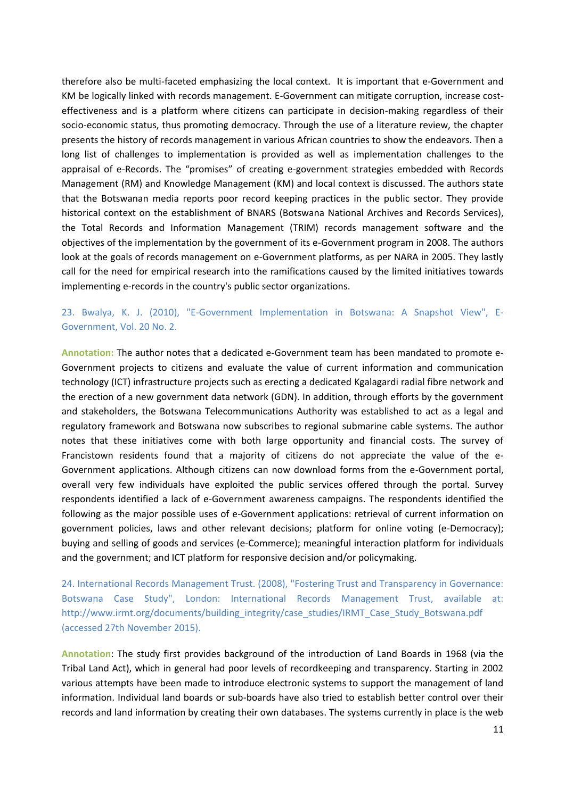therefore also be multi-faceted emphasizing the local context. It is important that e-Government and KM be logically linked with records management. E-Government can mitigate corruption, increase costeffectiveness and is a platform where citizens can participate in decision-making regardless of their socio-economic status, thus promoting democracy. Through the use of a literature review, the chapter presents the history of records management in various African countries to show the endeavors. Then a long list of challenges to implementation is provided as well as implementation challenges to the appraisal of e-Records. The "promises" of creating e-government strategies embedded with Records Management (RM) and Knowledge Management (KM) and local context is discussed. The authors state that the Botswanan media reports poor record keeping practices in the public sector. They provide historical context on the establishment of BNARS (Botswana National Archives and Records Services), the Total Records and Information Management (TRIM) records management software and the objectives of the implementation by the government of its e-Government program in 2008. The authors look at the goals of records management on e-Government platforms, as per NARA in 2005. They lastly call for the need for empirical research into the ramifications caused by the limited initiatives towards implementing e-records in the country's public sector organizations.

## 23. Bwalya, K. J. (2010), "E-Government Implementation in Botswana: A Snapshot View", E-Government, Vol. 20 No. 2.

**Annotation:** The author notes that a dedicated e-Government team has been mandated to promote e-Government projects to citizens and evaluate the value of current information and communication technology (ICT) infrastructure projects such as erecting a dedicated Kgalagardi radial fibre network and the erection of a new government data network (GDN). In addition, through efforts by the government and stakeholders, the Botswana Telecommunications Authority was established to act as a legal and regulatory framework and Botswana now subscribes to regional submarine cable systems. The author notes that these initiatives come with both large opportunity and financial costs. The survey of Francistown residents found that a majority of citizens do not appreciate the value of the e-Government applications. Although citizens can now download forms from the e-Government portal, overall very few individuals have exploited the public services offered through the portal. Survey respondents identified a lack of e-Government awareness campaigns. The respondents identified the following as the major possible uses of e-Government applications: retrieval of current information on government policies, laws and other relevant decisions; platform for online voting (e-Democracy); buying and selling of goods and services (e-Commerce); meaningful interaction platform for individuals and the government; and ICT platform for responsive decision and/or policymaking.

24. International Records Management Trust. (2008), "Fostering Trust and Transparency in Governance: Botswana Case Study", London: International Records Management Trust, available at: http://www.irmt.org/documents/building\_integrity/case\_studies/IRMT\_Case\_Study\_Botswana.pdf (accessed 27th November 2015).

**Annotation**: The study first provides background of the introduction of Land Boards in 1968 (via the Tribal Land Act), which in general had poor levels of recordkeeping and transparency. Starting in 2002 various attempts have been made to introduce electronic systems to support the management of land information. Individual land boards or sub-boards have also tried to establish better control over their records and land information by creating their own databases. The systems currently in place is the web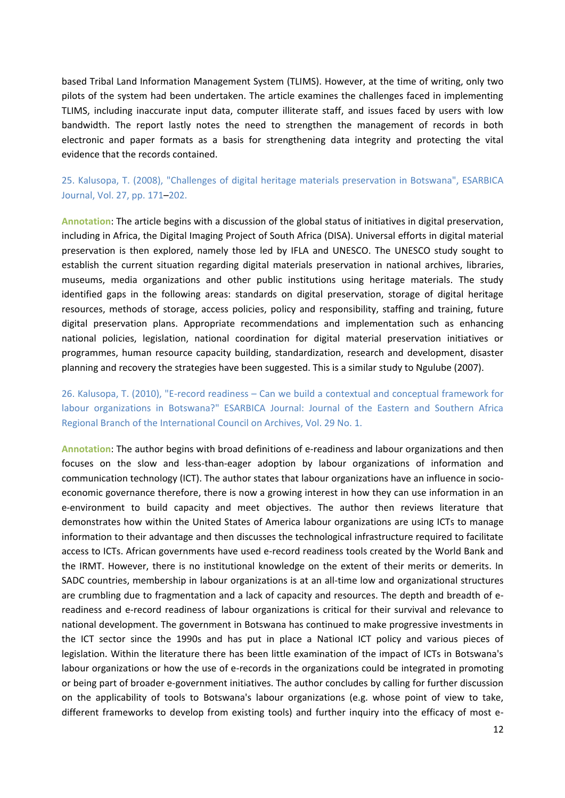based Tribal Land Information Management System (TLIMS). However, at the time of writing, only two pilots of the system had been undertaken. The article examines the challenges faced in implementing TLIMS, including inaccurate input data, computer illiterate staff, and issues faced by users with low bandwidth. The report lastly notes the need to strengthen the management of records in both electronic and paper formats as a basis for strengthening data integrity and protecting the vital evidence that the records contained.

25. Kalusopa, T. (2008), "Challenges of digital heritage materials preservation in Botswana", ESARBICA Journal, Vol. 27, pp. 171–202.

**Annotation**: The article begins with a discussion of the global status of initiatives in digital preservation, including in Africa, the Digital Imaging Project of South Africa (DISA). Universal efforts in digital material preservation is then explored, namely those led by IFLA and UNESCO. The UNESCO study sought to establish the current situation regarding digital materials preservation in national archives, libraries, museums, media organizations and other public institutions using heritage materials. The study identified gaps in the following areas: standards on digital preservation, storage of digital heritage resources, methods of storage, access policies, policy and responsibility, staffing and training, future digital preservation plans. Appropriate recommendations and implementation such as enhancing national policies, legislation, national coordination for digital material preservation initiatives or programmes, human resource capacity building, standardization, research and development, disaster planning and recovery the strategies have been suggested. This is a similar study to Ngulube (2007).

26. Kalusopa, T. (2010), "E-record readiness – Can we build a contextual and conceptual framework for labour organizations in Botswana?" ESARBICA Journal: Journal of the Eastern and Southern Africa Regional Branch of the International Council on Archives, Vol. 29 No. 1.

**Annotation**: The author begins with broad definitions of e-readiness and labour organizations and then focuses on the slow and less-than-eager adoption by labour organizations of information and communication technology (ICT). The author states that labour organizations have an influence in socioeconomic governance therefore, there is now a growing interest in how they can use information in an e-environment to build capacity and meet objectives. The author then reviews literature that demonstrates how within the United States of America labour organizations are using ICTs to manage information to their advantage and then discusses the technological infrastructure required to facilitate access to ICTs. African governments have used e-record readiness tools created by the World Bank and the IRMT. However, there is no institutional knowledge on the extent of their merits or demerits. In SADC countries, membership in labour organizations is at an all-time low and organizational structures are crumbling due to fragmentation and a lack of capacity and resources. The depth and breadth of ereadiness and e-record readiness of labour organizations is critical for their survival and relevance to national development. The government in Botswana has continued to make progressive investments in the ICT sector since the 1990s and has put in place a National ICT policy and various pieces of legislation. Within the literature there has been little examination of the impact of ICTs in Botswana's labour organizations or how the use of e-records in the organizations could be integrated in promoting or being part of broader e-government initiatives. The author concludes by calling for further discussion on the applicability of tools to Botswana's labour organizations (e.g. whose point of view to take, different frameworks to develop from existing tools) and further inquiry into the efficacy of most e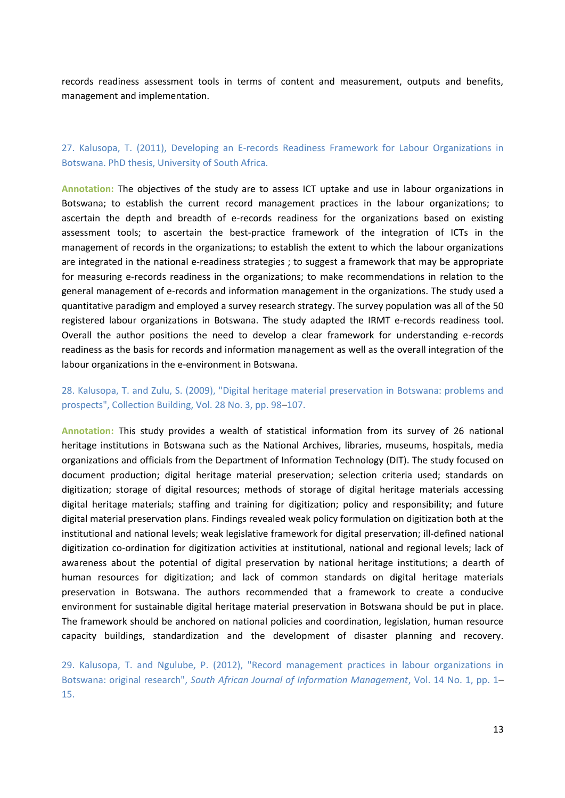records readiness assessment tools in terms of content and measurement, outputs and benefits, management and implementation.

#### 27. Kalusopa, T. (2011), Developing an E-records Readiness Framework for Labour Organizations in Botswana. PhD thesis, University of South Africa.

**Annotation:** The objectives of the study are to assess ICT uptake and use in labour organizations in Botswana; to establish the current record management practices in the labour organizations; to ascertain the depth and breadth of e-records readiness for the organizations based on existing assessment tools; to ascertain the best-practice framework of the integration of ICTs in the management of records in the organizations; to establish the extent to which the labour organizations are integrated in the national e-readiness strategies ; to suggest a framework that may be appropriate for measuring e-records readiness in the organizations; to make recommendations in relation to the general management of e-records and information management in the organizations. The study used a quantitative paradigm and employed a survey research strategy. The survey population was all of the 50 registered labour organizations in Botswana. The study adapted the IRMT e-records readiness tool. Overall the author positions the need to develop a clear framework for understanding e-records readiness as the basis for records and information management as well as the overall integration of the labour organizations in the e-environment in Botswana.

## 28. Kalusopa, T. and Zulu, S. (2009), "Digital heritage material preservation in Botswana: problems and prospects", Collection Building, Vol. 28 No. 3, pp. 98–107.

**Annotation:** This study provides a wealth of statistical information from its survey of 26 national heritage institutions in Botswana such as the National Archives, libraries, museums, hospitals, media organizations and officials from the Department of Information Technology (DIT). The study focused on document production; digital heritage material preservation; selection criteria used; standards on digitization; storage of digital resources; methods of storage of digital heritage materials accessing digital heritage materials; staffing and training for digitization; policy and responsibility; and future digital material preservation plans. Findings revealed weak policy formulation on digitization both at the institutional and national levels; weak legislative framework for digital preservation; ill-defined national digitization co-ordination for digitization activities at institutional, national and regional levels; lack of awareness about the potential of digital preservation by national heritage institutions; a dearth of human resources for digitization; and lack of common standards on digital heritage materials preservation in Botswana. The authors recommended that a framework to create a conducive environment for sustainable digital heritage material preservation in Botswana should be put in place. The framework should be anchored on national policies and coordination, legislation, human resource capacity buildings, standardization and the development of disaster planning and recovery.

29. Kalusopa, T. and Ngulube, P. (2012), "Record management practices in labour organizations in Botswana: original research", *South African Journal of Information Management*, Vol. 14 No. 1, pp. 1– 15.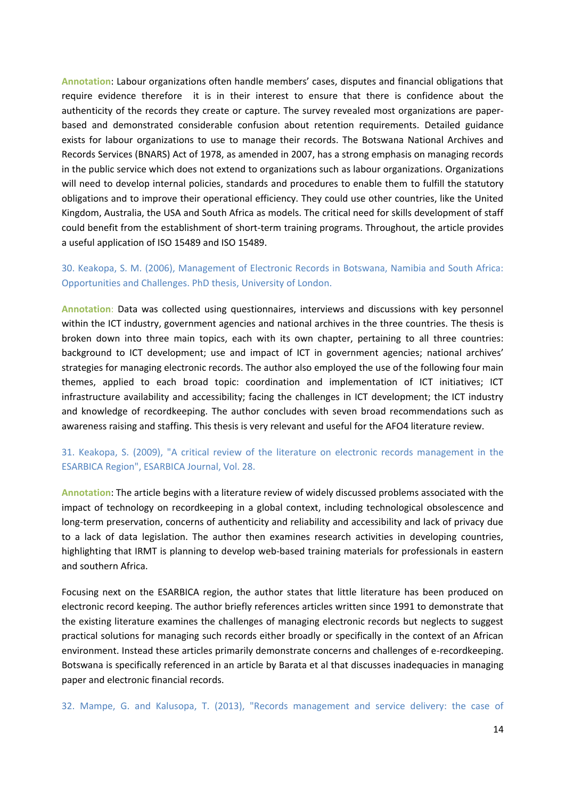**Annotation**: Labour organizations often handle members' cases, disputes and financial obligations that require evidence therefore it is in their interest to ensure that there is confidence about the authenticity of the records they create or capture. The survey revealed most organizations are paperbased and demonstrated considerable confusion about retention requirements. Detailed guidance exists for labour organizations to use to manage their records. The Botswana National Archives and Records Services (BNARS) Act of 1978, as amended in 2007, has a strong emphasis on managing records in the public service which does not extend to organizations such as labour organizations. Organizations will need to develop internal policies, standards and procedures to enable them to fulfill the statutory obligations and to improve their operational efficiency. They could use other countries, like the United Kingdom, Australia, the USA and South Africa as models. The critical need for skills development of staff could benefit from the establishment of short-term training programs. Throughout, the article provides a useful application of ISO 15489 and ISO 15489.

## 30. Keakopa, S. M. (2006), Management of Electronic Records in Botswana, Namibia and South Africa: Opportunities and Challenges. PhD thesis, University of London.

**Annotation**: Data was collected using questionnaires, interviews and discussions with key personnel within the ICT industry, government agencies and national archives in the three countries. The thesis is broken down into three main topics, each with its own chapter, pertaining to all three countries: background to ICT development; use and impact of ICT in government agencies; national archives' strategies for managing electronic records. The author also employed the use of the following four main themes, applied to each broad topic: coordination and implementation of ICT initiatives; ICT infrastructure availability and accessibility; facing the challenges in ICT development; the ICT industry and knowledge of recordkeeping. The author concludes with seven broad recommendations such as awareness raising and staffing. This thesis is very relevant and useful for the AFO4 literature review.

## 31. Keakopa, S. (2009), "A critical review of the literature on electronic records management in the ESARBICA Region", ESARBICA Journal, Vol. 28.

**Annotation**: The article begins with a literature review of widely discussed problems associated with the impact of technology on recordkeeping in a global context, including technological obsolescence and long-term preservation, concerns of authenticity and reliability and accessibility and lack of privacy due to a lack of data legislation. The author then examines research activities in developing countries, highlighting that IRMT is planning to develop web-based training materials for professionals in eastern and southern Africa.

Focusing next on the ESARBICA region, the author states that little literature has been produced on electronic record keeping. The author briefly references articles written since 1991 to demonstrate that the existing literature examines the challenges of managing electronic records but neglects to suggest practical solutions for managing such records either broadly or specifically in the context of an African environment. Instead these articles primarily demonstrate concerns and challenges of e-recordkeeping. Botswana is specifically referenced in an article by Barata et al that discusses inadequacies in managing paper and electronic financial records.

32. Mampe, G. and Kalusopa, T. (2013), "Records management and service delivery: the case of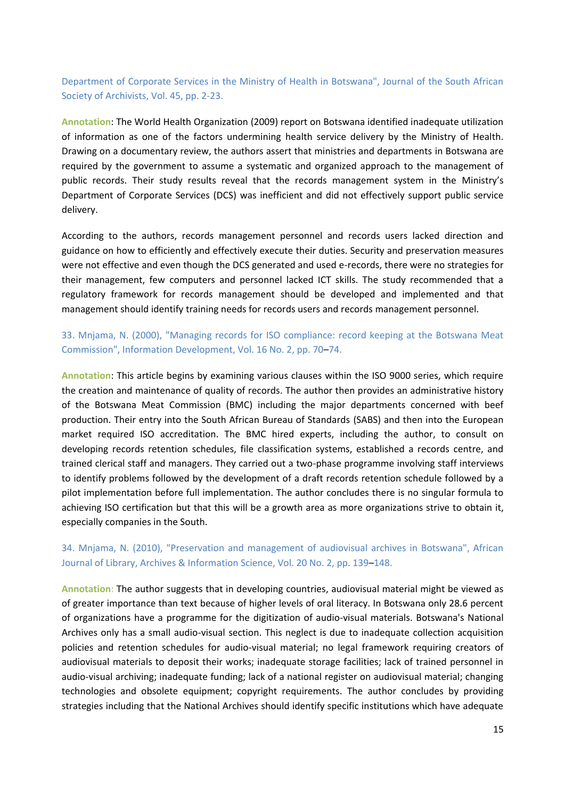Department of Corporate Services in the Ministry of Health in Botswana", Journal of the South African Society of Archivists, Vol. 45, pp. 2-23.

**Annotation**: The World Health Organization (2009) report on Botswana identified inadequate utilization of information as one of the factors undermining health service delivery by the Ministry of Health. Drawing on a documentary review, the authors assert that ministries and departments in Botswana are required by the government to assume a systematic and organized approach to the management of public records. Their study results reveal that the records management system in the Ministry's Department of Corporate Services (DCS) was inefficient and did not effectively support public service delivery.

According to the authors, records management personnel and records users lacked direction and guidance on how to efficiently and effectively execute their duties. Security and preservation measures were not effective and even though the DCS generated and used e-records, there were no strategies for their management, few computers and personnel lacked ICT skills. The study recommended that a regulatory framework for records management should be developed and implemented and that management should identify training needs for records users and records management personnel.

## 33. Mnjama, N. (2000), "Managing records for ISO compliance: record keeping at the Botswana Meat Commission", Information Development, Vol. 16 No. 2, pp. 70–74.

**Annotation**: This article begins by examining various clauses within the ISO 9000 series, which require the creation and maintenance of quality of records. The author then provides an administrative history of the Botswana Meat Commission (BMC) including the major departments concerned with beef production. Their entry into the South African Bureau of Standards (SABS) and then into the European market required ISO accreditation. The BMC hired experts, including the author, to consult on developing records retention schedules, file classification systems, established a records centre, and trained clerical staff and managers. They carried out a two-phase programme involving staff interviews to identify problems followed by the development of a draft records retention schedule followed by a pilot implementation before full implementation. The author concludes there is no singular formula to achieving ISO certification but that this will be a growth area as more organizations strive to obtain it, especially companies in the South.

## 34. Mnjama, N. (2010), "Preservation and management of audiovisual archives in Botswana", African Journal of Library, Archives & Information Science, Vol. 20 No. 2, pp. 139–148.

**Annotation**: The author suggests that in developing countries, audiovisual material might be viewed as of greater importance than text because of higher levels of oral literacy. In Botswana only 28.6 percent of organizations have a programme for the digitization of audio-visual materials. Botswana's National Archives only has a small audio-visual section. This neglect is due to inadequate collection acquisition policies and retention schedules for audio-visual material; no legal framework requiring creators of audiovisual materials to deposit their works; inadequate storage facilities; lack of trained personnel in audio-visual archiving; inadequate funding; lack of a national register on audiovisual material; changing technologies and obsolete equipment; copyright requirements. The author concludes by providing strategies including that the National Archives should identify specific institutions which have adequate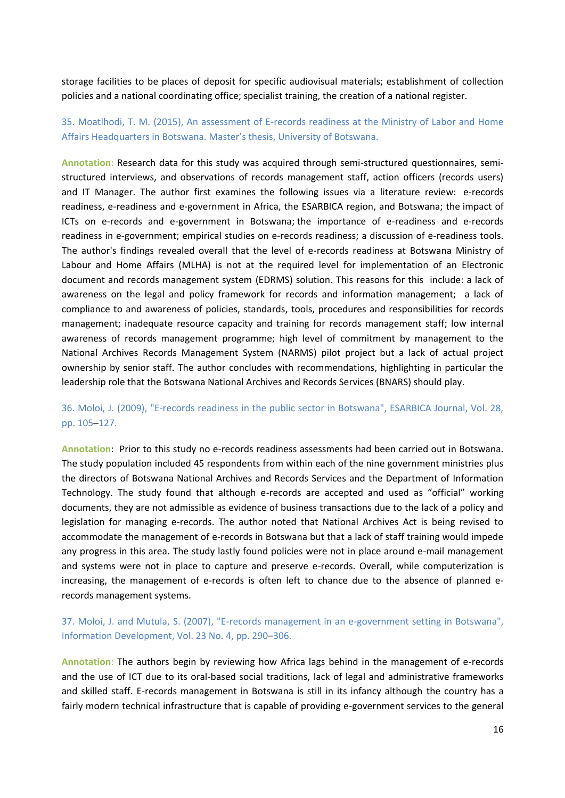storage facilities to be places of deposit for specific audiovisual materials; establishment of collection policies and a national coordinating office; specialist training, the creation of a national register.

## 35. Moatlhodi, T. M. (2015), An assessment of E-records readiness at the Ministry of Labor and Home Affairs Headquarters in Botswana. Master's thesis, University of Botswana.

**Annotation**: Research data for this study was acquired through semi-structured questionnaires, semistructured interviews, and observations of records management staff, action officers (records users) and IT Manager. The author first examines the following issues via a literature review: e-records readiness, e-readiness and e-government in Africa, the ESARBICA region, and Botswana; the impact of ICTs on e-records and e-government in Botswana; the importance of e-readiness and e-records readiness in e-government; empirical studies on e-records readiness; a discussion of e-readiness tools. The author's findings revealed overall that the level of e-records readiness at Botswana Ministry of Labour and Home Affairs (MLHA) is not at the required level for implementation of an Electronic document and records management system (EDRMS) solution. This reasons for this include: a lack of awareness on the legal and policy framework for records and information management; a lack of compliance to and awareness of policies, standards, tools, procedures and responsibilities for records management; inadequate resource capacity and training for records management staff; low internal awareness of records management programme; high level of commitment by management to the National Archives Records Management System (NARMS) pilot project but a lack of actual project ownership by senior staff. The author concludes with recommendations, highlighting in particular the leadership role that the Botswana National Archives and Records Services (BNARS) should play.

# 36. Moloi, J. (2009), "E-records readiness in the public sector in Botswana", ESARBICA Journal, Vol. 28, pp. 105–127.

**Annotation**: Prior to this study no e-records readiness assessments had been carried out in Botswana. The study population included 45 respondents from within each of the nine government ministries plus the directors of Botswana National Archives and Records Services and the Department of Information Technology. The study found that although e-records are accepted and used as "official" working documents, they are not admissible as evidence of business transactions due to the lack of a policy and legislation for managing e-records. The author noted that National Archives Act is being revised to accommodate the management of e-records in Botswana but that a lack of staff training would impede any progress in this area. The study lastly found policies were not in place around e-mail management and systems were not in place to capture and preserve e-records. Overall, while computerization is increasing, the management of e-records is often left to chance due to the absence of planned erecords management systems.

## 37. Moloi, J. and Mutula, S. (2007), "E-records management in an e-government setting in Botswana", Information Development, Vol. 23 No. 4, pp. 290–306.

**Annotation**: The authors begin by reviewing how Africa lags behind in the management of e-records and the use of ICT due to its oral-based social traditions, lack of legal and administrative frameworks and skilled staff. E-records management in Botswana is still in its infancy although the country has a fairly modern technical infrastructure that is capable of providing e-government services to the general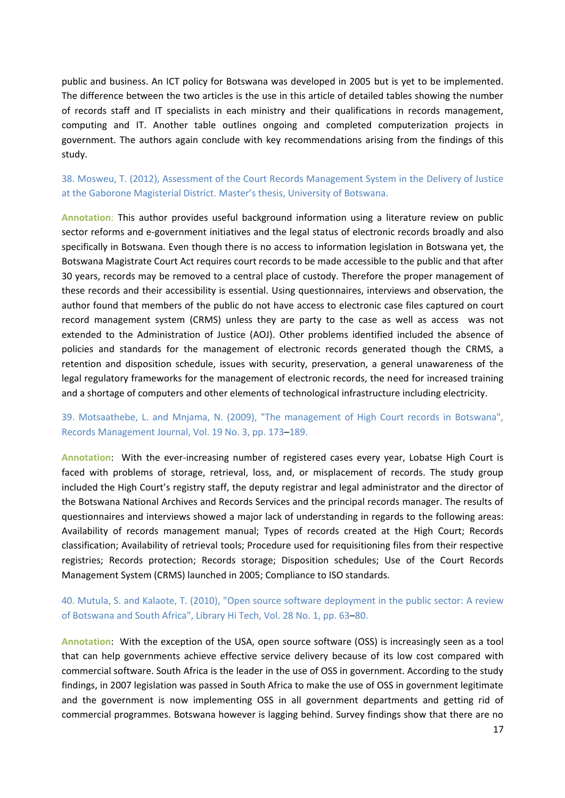public and business. An ICT policy for Botswana was developed in 2005 but is yet to be implemented. The difference between the two articles is the use in this article of detailed tables showing the number of records staff and IT specialists in each ministry and their qualifications in records management, computing and IT. Another table outlines ongoing and completed computerization projects in government. The authors again conclude with key recommendations arising from the findings of this study.

38. Mosweu, T. (2012), Assessment of the Court Records Management System in the Delivery of Justice at the Gaborone Magisterial District. Master's thesis, University of Botswana.

**Annotation**: This author provides useful background information using a literature review on public sector reforms and e-government initiatives and the legal status of electronic records broadly and also specifically in Botswana. Even though there is no access to information legislation in Botswana yet, the Botswana Magistrate Court Act requires court records to be made accessible to the public and that after 30 years, records may be removed to a central place of custody. Therefore the proper management of these records and their accessibility is essential. Using questionnaires, interviews and observation, the author found that members of the public do not have access to electronic case files captured on court record management system (CRMS) unless they are party to the case as well as access was not extended to the Administration of Justice (AOJ). Other problems identified included the absence of policies and standards for the management of electronic records generated though the CRMS, a retention and disposition schedule, issues with security, preservation, a general unawareness of the legal regulatory frameworks for the management of electronic records, the need for increased training and a shortage of computers and other elements of technological infrastructure including electricity.

#### 39. Motsaathebe, L. and Mnjama, N. (2009), "The management of High Court records in Botswana", Records Management Journal, Vol. 19 No. 3, pp. 173–189.

**Annotation**: With the ever-increasing number of registered cases every year, Lobatse High Court is faced with problems of storage, retrieval, loss, and, or misplacement of records. The study group included the High Court's registry staff, the deputy registrar and legal administrator and the director of the Botswana National Archives and Records Services and the principal records manager. The results of questionnaires and interviews showed a major lack of understanding in regards to the following areas: Availability of records management manual; Types of records created at the High Court; Records classification; Availability of retrieval tools; Procedure used for requisitioning files from their respective registries; Records protection; Records storage; Disposition schedules; Use of the Court Records Management System (CRMS) launched in 2005; Compliance to ISO standards.

## 40. Mutula, S. and Kalaote, T. (2010), "Open source software deployment in the public sector: A review of Botswana and South Africa", Library Hi Tech, Vol. 28 No. 1, pp. 63–80.

**Annotation**: With the exception of the USA, open source software (OSS) is increasingly seen as a tool that can help governments achieve effective service delivery because of its low cost compared with commercial software. South Africa is the leader in the use of OSS in government. According to the study findings, in 2007 legislation was passed in South Africa to make the use of OSS in government legitimate and the government is now implementing OSS in all government departments and getting rid of commercial programmes. Botswana however is lagging behind. Survey findings show that there are no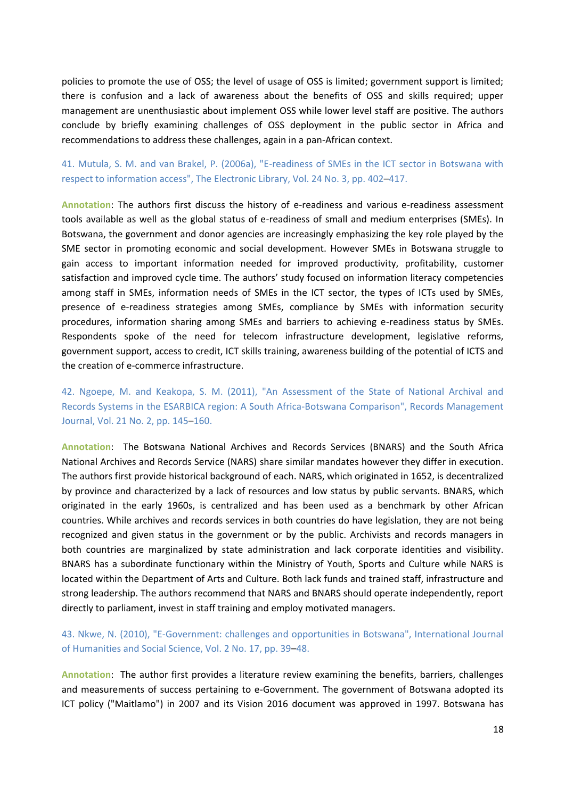policies to promote the use of OSS; the level of usage of OSS is limited; government support is limited; there is confusion and a lack of awareness about the benefits of OSS and skills required; upper management are unenthusiastic about implement OSS while lower level staff are positive. The authors conclude by briefly examining challenges of OSS deployment in the public sector in Africa and recommendations to address these challenges, again in a pan-African context.

## 41. Mutula, S. M. and van Brakel, P. (2006a), "E-readiness of SMEs in the ICT sector in Botswana with respect to information access", The Electronic Library, Vol. 24 No. 3, pp. 402–417.

**Annotation**: The authors first discuss the history of e-readiness and various e-readiness assessment tools available as well as the global status of e-readiness of small and medium enterprises (SMEs). In Botswana, the government and donor agencies are increasingly emphasizing the key role played by the SME sector in promoting economic and social development. However SMEs in Botswana struggle to gain access to important information needed for improved productivity, profitability, customer satisfaction and improved cycle time. The authors' study focused on information literacy competencies among staff in SMEs, information needs of SMEs in the ICT sector, the types of ICTs used by SMEs, presence of e-readiness strategies among SMEs, compliance by SMEs with information security procedures, information sharing among SMEs and barriers to achieving e-readiness status by SMEs. Respondents spoke of the need for telecom infrastructure development, legislative reforms, government support, access to credit, ICT skills training, awareness building of the potential of ICTS and the creation of e-commerce infrastructure.

42. Ngoepe, M. and Keakopa, S. M. (2011), "An Assessment of the State of National Archival and Records Systems in the ESARBICA region: A South Africa-Botswana Comparison", Records Management Journal, Vol. 21 No. 2, pp. 145–160.

**Annotation**: The Botswana National Archives and Records Services (BNARS) and the South Africa National Archives and Records Service (NARS) share similar mandates however they differ in execution. The authors first provide historical background of each. NARS, which originated in 1652, is decentralized by province and characterized by a lack of resources and low status by public servants. BNARS, which originated in the early 1960s, is centralized and has been used as a benchmark by other African countries. While archives and records services in both countries do have legislation, they are not being recognized and given status in the government or by the public. Archivists and records managers in both countries are marginalized by state administration and lack corporate identities and visibility. BNARS has a subordinate functionary within the Ministry of Youth, Sports and Culture while NARS is located within the Department of Arts and Culture. Both lack funds and trained staff, infrastructure and strong leadership. The authors recommend that NARS and BNARS should operate independently, report directly to parliament, invest in staff training and employ motivated managers.

#### 43. Nkwe, N. (2010), "E-Government: challenges and opportunities in Botswana", International Journal of Humanities and Social Science, Vol. 2 No. 17, pp. 39–48.

**Annotation**: The author first provides a literature review examining the benefits, barriers, challenges and measurements of success pertaining to e-Government. The government of Botswana adopted its ICT policy ("Maitlamo") in 2007 and its Vision 2016 document was approved in 1997. Botswana has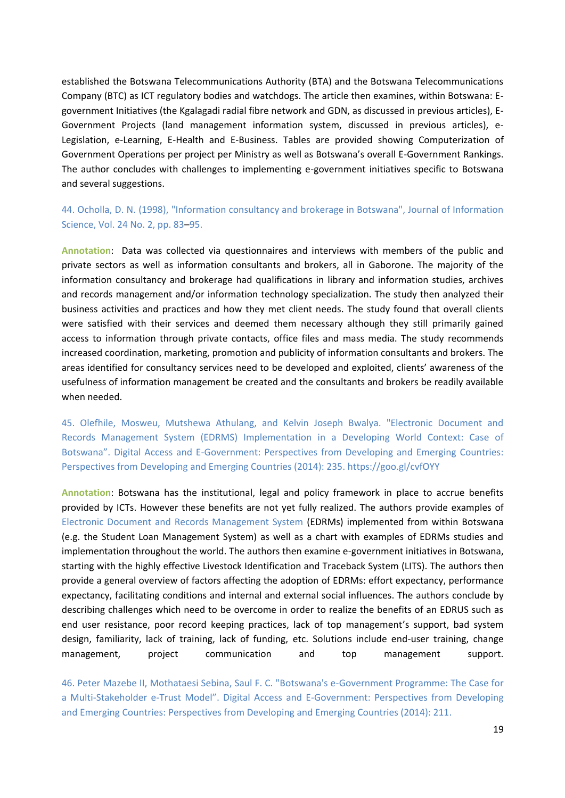established the Botswana Telecommunications Authority (BTA) and the Botswana Telecommunications Company (BTC) as ICT regulatory bodies and watchdogs. The article then examines, within Botswana: Egovernment Initiatives (the Kgalagadi radial fibre network and GDN, as discussed in previous articles), E-Government Projects (land management information system, discussed in previous articles), e-Legislation, e-Learning, E-Health and E-Business. Tables are provided showing Computerization of Government Operations per project per Ministry as well as Botswana's overall E-Government Rankings. The author concludes with challenges to implementing e-government initiatives specific to Botswana and several suggestions.

44. Ocholla, D. N. (1998), "Information consultancy and brokerage in Botswana", Journal of Information Science, Vol. 24 No. 2, pp. 83–95.

**Annotation**: Data was collected via questionnaires and interviews with members of the public and private sectors as well as information consultants and brokers, all in Gaborone. The majority of the information consultancy and brokerage had qualifications in library and information studies, archives and records management and/or information technology specialization. The study then analyzed their business activities and practices and how they met client needs. The study found that overall clients were satisfied with their services and deemed them necessary although they still primarily gained access to information through private contacts, office files and mass media. The study recommends increased coordination, marketing, promotion and publicity of information consultants and brokers. The areas identified for consultancy services need to be developed and exploited, clients' awareness of the usefulness of information management be created and the consultants and brokers be readily available when needed.

45. Olefhile, Mosweu, Mutshewa Athulang, and Kelvin Joseph Bwalya. "Electronic Document and Records Management System (EDRMS) Implementation in a Developing World Context: Case of Botswana". Digital Access and E-Government: Perspectives from Developing and Emerging Countries: Perspectives from Developing and Emerging Countries (2014): 235. https://goo.gl/cvfOYY

**Annotation**: Botswana has the institutional, legal and policy framework in place to accrue benefits provided by ICTs. However these benefits are not yet fully realized. The authors provide examples of Electronic Document and Records Management System (EDRMs) implemented from within Botswana (e.g. the Student Loan Management System) as well as a chart with examples of EDRMs studies and implementation throughout the world. The authors then examine e-government initiatives in Botswana, starting with the highly effective Livestock Identification and Traceback System (LITS). The authors then provide a general overview of factors affecting the adoption of EDRMs: effort expectancy, performance expectancy, facilitating conditions and internal and external social influences. The authors conclude by describing challenges which need to be overcome in order to realize the benefits of an EDRUS such as end user resistance, poor record keeping practices, lack of top management's support, bad system design, familiarity, lack of training, lack of funding, etc. Solutions include end-user training, change management, project communication and top management support.

46. Peter Mazebe II, Mothataesi Sebina, Saul F. C. "Botswana's e-Government Programme: The Case for a Multi-Stakeholder e-Trust Model". Digital Access and E-Government: Perspectives from Developing and Emerging Countries: Perspectives from Developing and Emerging Countries (2014): 211.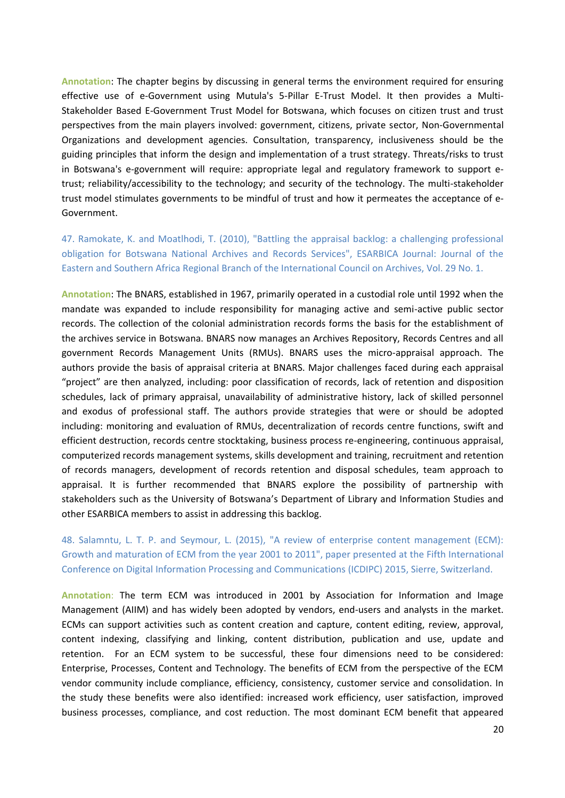**Annotation**: The chapter begins by discussing in general terms the environment required for ensuring effective use of e-Government using Mutula's 5-Pillar E-Trust Model. It then provides a Multi-Stakeholder Based E-Government Trust Model for Botswana, which focuses on citizen trust and trust perspectives from the main players involved: government, citizens, private sector, Non-Governmental Organizations and development agencies. Consultation, transparency, inclusiveness should be the guiding principles that inform the design and implementation of a trust strategy. Threats/risks to trust in Botswana's e-government will require: appropriate legal and regulatory framework to support etrust; reliability/accessibility to the technology; and security of the technology. The multi-stakeholder trust model stimulates governments to be mindful of trust and how it permeates the acceptance of e-Government.

47. Ramokate, K. and Moatlhodi, T. (2010), "Battling the appraisal backlog: a challenging professional obligation for Botswana National Archives and Records Services", ESARBICA Journal: Journal of the Eastern and Southern Africa Regional Branch of the International Council on Archives, Vol. 29 No. 1.

**Annotation**: The BNARS, established in 1967, primarily operated in a custodial role until 1992 when the mandate was expanded to include responsibility for managing active and semi-active public sector records. The collection of the colonial administration records forms the basis for the establishment of the archives service in Botswana. BNARS now manages an Archives Repository, Records Centres and all government Records Management Units (RMUs). BNARS uses the micro-appraisal approach. The authors provide the basis of appraisal criteria at BNARS. Major challenges faced during each appraisal "project" are then analyzed, including: poor classification of records, lack of retention and disposition schedules, lack of primary appraisal, unavailability of administrative history, lack of skilled personnel and exodus of professional staff. The authors provide strategies that were or should be adopted including: monitoring and evaluation of RMUs, decentralization of records centre functions, swift and efficient destruction, records centre stocktaking, business process re-engineering, continuous appraisal, computerized records management systems, skills development and training, recruitment and retention of records managers, development of records retention and disposal schedules, team approach to appraisal. It is further recommended that BNARS explore the possibility of partnership with stakeholders such as the University of Botswana's Department of Library and Information Studies and other ESARBICA members to assist in addressing this backlog.

48. Salamntu, L. T. P. and Seymour, L. (2015), "A review of enterprise content management (ECM): Growth and maturation of ECM from the year 2001 to 2011", paper presented at the Fifth International Conference on Digital Information Processing and Communications (ICDIPC) 2015, Sierre, Switzerland.

**Annotation**: The term ECM was introduced in 2001 by Association for Information and Image Management (AIIM) and has widely been adopted by vendors, end-users and analysts in the market. ECMs can support activities such as content creation and capture, content editing, review, approval, content indexing, classifying and linking, content distribution, publication and use, update and retention. For an ECM system to be successful, these four dimensions need to be considered: Enterprise, Processes, Content and Technology. The benefits of ECM from the perspective of the ECM vendor community include compliance, efficiency, consistency, customer service and consolidation. In the study these benefits were also identified: increased work efficiency, user satisfaction, improved business processes, compliance, and cost reduction. The most dominant ECM benefit that appeared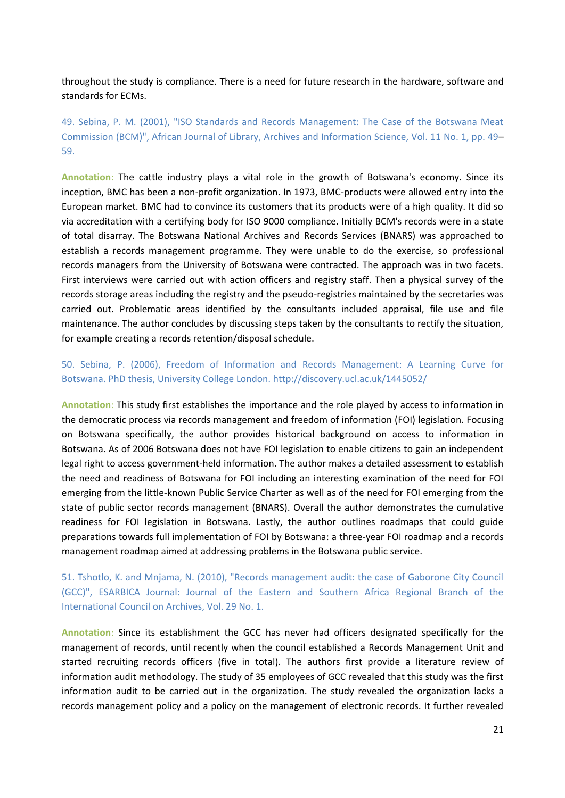throughout the study is compliance. There is a need for future research in the hardware, software and standards for ECMs.

49. Sebina, P. M. (2001), "ISO Standards and Records Management: The Case of the Botswana Meat Commission (BCM)", African Journal of Library, Archives and Information Science, Vol. 11 No. 1, pp. 49– 59.

**Annotation**: The cattle industry plays a vital role in the growth of Botswana's economy. Since its inception, BMC has been a non-profit organization. In 1973, BMC-products were allowed entry into the European market. BMC had to convince its customers that its products were of a high quality. It did so via accreditation with a certifying body for ISO 9000 compliance. Initially BCM's records were in a state of total disarray. The Botswana National Archives and Records Services (BNARS) was approached to establish a records management programme. They were unable to do the exercise, so professional records managers from the University of Botswana were contracted. The approach was in two facets. First interviews were carried out with action officers and registry staff. Then a physical survey of the records storage areas including the registry and the pseudo-registries maintained by the secretaries was carried out. Problematic areas identified by the consultants included appraisal, file use and file maintenance. The author concludes by discussing steps taken by the consultants to rectify the situation, for example creating a records retention/disposal schedule.

50. Sebina, P. (2006), Freedom of Information and Records Management: A Learning Curve for Botswana. PhD thesis, University College London. http://discovery.ucl.ac.uk/1445052/

**Annotation**: This study first establishes the importance and the role played by access to information in the democratic process via records management and freedom of information (FOI) legislation. Focusing on Botswana specifically, the author provides historical background on access to information in Botswana. As of 2006 Botswana does not have FOI legislation to enable citizens to gain an independent legal right to access government-held information. The author makes a detailed assessment to establish the need and readiness of Botswana for FOI including an interesting examination of the need for FOI emerging from the little-known Public Service Charter as well as of the need for FOI emerging from the state of public sector records management (BNARS). Overall the author demonstrates the cumulative readiness for FOI legislation in Botswana. Lastly, the author outlines roadmaps that could guide preparations towards full implementation of FOI by Botswana: a three-year FOI roadmap and a records management roadmap aimed at addressing problems in the Botswana public service.

51. Tshotlo, K. and Mnjama, N. (2010), "Records management audit: the case of Gaborone City Council (GCC)", ESARBICA Journal: Journal of the Eastern and Southern Africa Regional Branch of the International Council on Archives, Vol. 29 No. 1.

**Annotation**: Since its establishment the GCC has never had officers designated specifically for the management of records, until recently when the council established a Records Management Unit and started recruiting records officers (five in total). The authors first provide a literature review of information audit methodology. The study of 35 employees of GCC revealed that this study was the first information audit to be carried out in the organization. The study revealed the organization lacks a records management policy and a policy on the management of electronic records. It further revealed